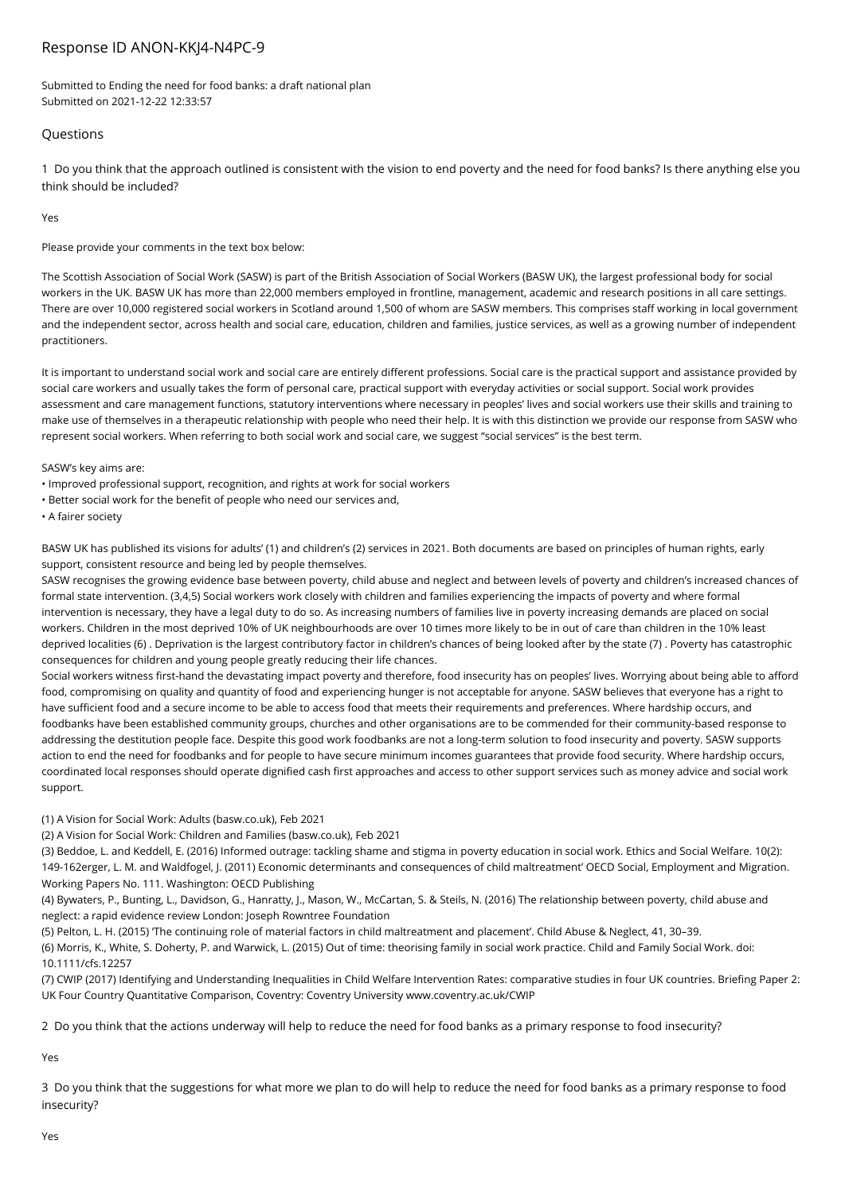## Response ID ANON-KKJ4-N4PC-9

Submitted to Ending the need for food banks: a draft national plan Submitted on 2021-12-22 12:33:57

## Questions

1 Do you think that the approach outlined is consistent with the vision to end poverty and the need for food banks? Is there anything else you think should be included?

**Vec** 

Please provide your comments in the text box below:

The Scottish Association of Social Work (SASW) is part of the British Association of Social Workers (BASW UK), the largest professional body for social workers in the UK. BASW UK has more than 22,000 members employed in frontline, management, academic and research positions in all care settings. There are over 10,000 registered social workers in Scotland around 1,500 of whom are SASW members. This comprises staff working in local government and the independent sector, across health and social care, education, children and families, justice services, as well as a growing number of independent practitioners.

It is important to understand social work and social care are entirely different professions. Social care is the practical support and assistance provided by social care workers and usually takes the form of personal care, practical support with everyday activities or social support. Social work provides assessment and care management functions, statutory interventions where necessary in peoples' lives and social workers use their skills and training to make use of themselves in a therapeutic relationship with people who need their help. It is with this distinction we provide our response from SASW who represent social workers. When referring to both social work and social care, we suggest "social services" is the best term.

SASW's key aims are:

• Improved professional support, recognition, and rights at work for social workers

• Better social work for the benefit of people who need our services and,

• A fairer society

BASW UK has published its visions for adults' (1) and children's (2) services in 2021. Both documents are based on principles of human rights, early support, consistent resource and being led by people themselves.

SASW recognises the growing evidence base between poverty, child abuse and neglect and between levels of poverty and children's increased chances of formal state intervention. (3,4,5) Social workers work closely with children and families experiencing the impacts of poverty and where formal intervention is necessary, they have a legal duty to do so. As increasing numbers of families live in poverty increasing demands are placed on social workers. Children in the most deprived 10% of UK neighbourhoods are over 10 times more likely to be in out of care than children in the 10% least deprived localities (6) . Deprivation is the largest contributory factor in children's chances of being looked after by the state (7) . Poverty has catastrophic consequences for children and young people greatly reducing their life chances.

Social workers witness first-hand the devastating impact poverty and therefore, food insecurity has on peoples' lives. Worrying about being able to afford food, compromising on quality and quantity of food and experiencing hunger is not acceptable for anyone. SASW believes that everyone has a right to have sufficient food and a secure income to be able to access food that meets their requirements and preferences. Where hardship occurs, and foodbanks have been established community groups, churches and other organisations are to be commended for their community-based response to addressing the destitution people face. Despite this good work foodbanks are not a long-term solution to food insecurity and poverty. SASW supports action to end the need for foodbanks and for people to have secure minimum incomes guarantees that provide food security. Where hardship occurs, coordinated local responses should operate dignified cash first approaches and access to other support services such as money advice and social work support.

(1) A Vision for Social Work: Adults (basw.co.uk), Feb 2021

(2) A Vision for Social Work: Children and Families (basw.co.uk), Feb 2021

(3) Beddoe, L. and Keddell, E. (2016) Informed outrage: tackling shame and stigma in poverty education in social work. Ethics and Social Welfare. 10(2): 149-162erger, L. M. and Waldfogel, J. (2011) Economic determinants and consequences of child maltreatment' OECD Social, Employment and Migration. Working Papers No. 111. Washington: OECD Publishing

(4) Bywaters, P., Bunting, L., Davidson, G., Hanratty, J., Mason, W., McCartan, S. & Steils, N. (2016) The relationship between poverty, child abuse and neglect: a rapid evidence review London: Joseph Rowntree Foundation

(5) Pelton, L. H. (2015) 'The continuing role of material factors in child maltreatment and placement'. Child Abuse & Neglect, 41, 30–39. (6) Morris, K., White, S. Doherty, P. and Warwick, L. (2015) Out of time: theorising family in social work practice. Child and Family Social Work. doi: 10.1111/cfs.12257

(7) CWIP (2017) Identifying and Understanding Inequalities in Child Welfare Intervention Rates: comparative studies in four UK countries. Briefing Paper 2: UK Four Country Quantitative Comparison, Coventry: Coventry University www.coventry.ac.uk/CWIP

2 Do you think that the actions underway will help to reduce the need for food banks as a primary response to food insecurity?

Yes

3 Do you think that the suggestions for what more we plan to do will help to reduce the need for food banks as a primary response to food insecurity?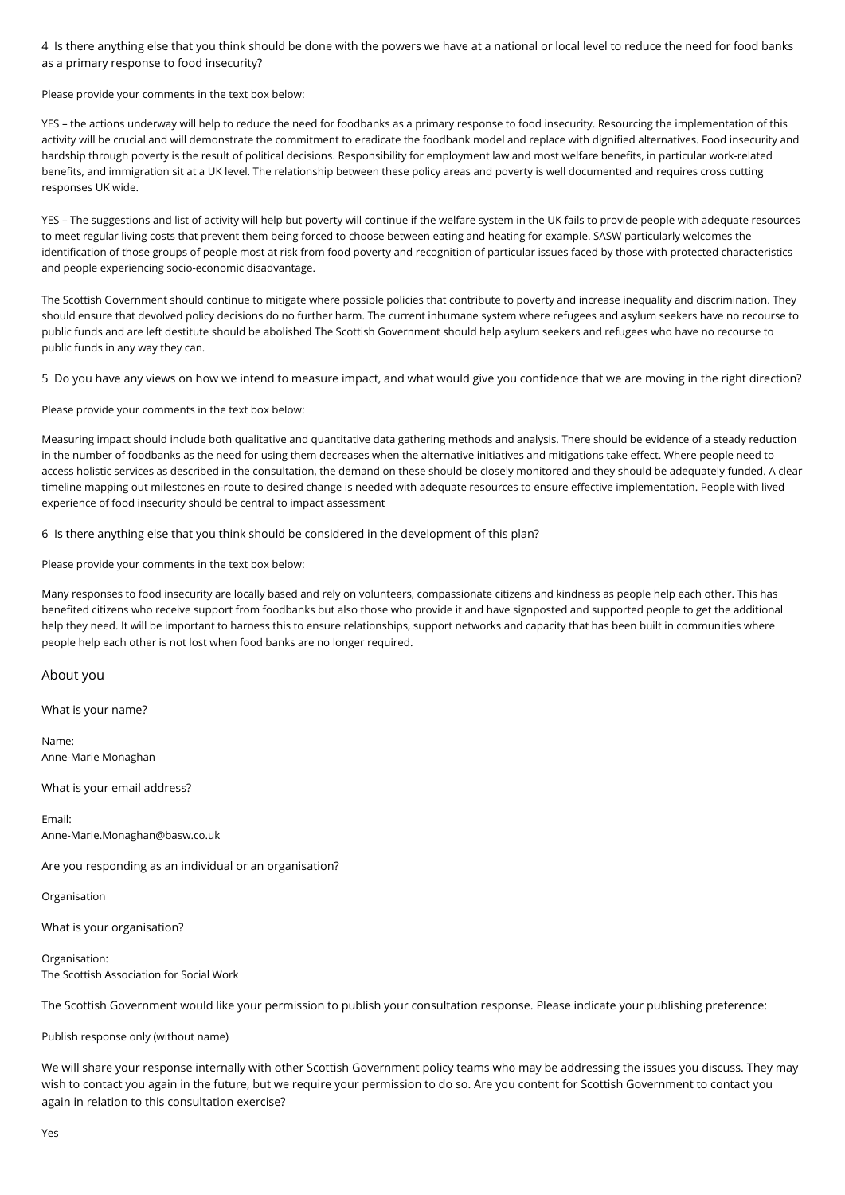4 Is there anything else that you think should be done with the powers we have at a national or local level to reduce the need for food banks as a primary response to food insecurity?

Please provide your comments in the text box below:

YES – the actions underway will help to reduce the need for foodbanks as a primary response to food insecurity. Resourcing the implementation of this activity will be crucial and will demonstrate the commitment to eradicate the foodbank model and replace with dignified alternatives. Food insecurity and hardship through poverty is the result of political decisions. Responsibility for employment law and most welfare benefits, in particular work-related benefits, and immigration sit at a UK level. The relationship between these policy areas and poverty is well documented and requires cross cutting responses UK wide.

YES – The suggestions and list of activity will help but poverty will continue if the welfare system in the UK fails to provide people with adequate resources to meet regular living costs that prevent them being forced to choose between eating and heating for example. SASW particularly welcomes the identification of those groups of people most at risk from food poverty and recognition of particular issues faced by those with protected characteristics and people experiencing socio-economic disadvantage.

The Scottish Government should continue to mitigate where possible policies that contribute to poverty and increase inequality and discrimination. They should ensure that devolved policy decisions do no further harm. The current inhumane system where refugees and asylum seekers have no recourse to public funds and are left destitute should be abolished The Scottish Government should help asylum seekers and refugees who have no recourse to public funds in any way they can.

5 Do you have any views on how we intend to measure impact, and what would give you confidence that we are moving in the right direction?

Please provide your comments in the text box below:

Measuring impact should include both qualitative and quantitative data gathering methods and analysis. There should be evidence of a steady reduction in the number of foodbanks as the need for using them decreases when the alternative initiatives and mitigations take effect. Where people need to access holistic services as described in the consultation, the demand on these should be closely monitored and they should be adequately funded. A clear timeline mapping out milestones en-route to desired change is needed with adequate resources to ensure effective implementation. People with lived experience of food insecurity should be central to impact assessment

6 Is there anything else that you think should be considered in the development of this plan?

Please provide your comments in the text box below:

Many responses to food insecurity are locally based and rely on volunteers, compassionate citizens and kindness as people help each other. This has benefited citizens who receive support from foodbanks but also those who provide it and have signposted and supported people to get the additional help they need. It will be important to harness this to ensure relationships, support networks and capacity that has been built in communities where people help each other is not lost when food banks are no longer required.

About you

What is your name?

Name: Anne-Marie Monaghan

What is your email address?

Email: Anne-Marie.Monaghan@basw.co.uk

Are you responding as an individual or an organisation?

Organisation

What is your organisation?

Organisation: The Scottish Association for Social Work

The Scottish Government would like your permission to publish your consultation response. Please indicate your publishing preference:

Publish response only (without name)

We will share your response internally with other Scottish Government policy teams who may be addressing the issues you discuss. They may wish to contact you again in the future, but we require your permission to do so. Are you content for Scottish Government to contact you again in relation to this consultation exercise?